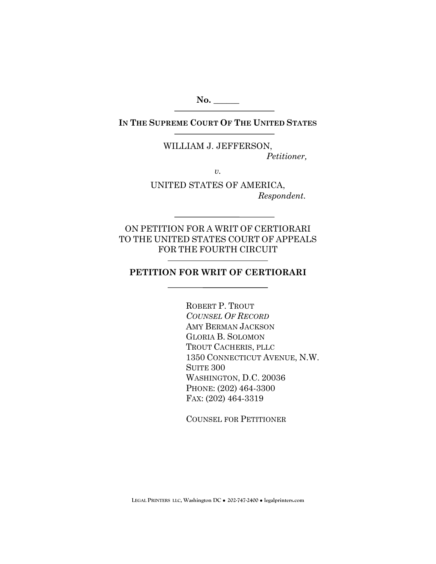**No. \_\_\_\_\_\_** 

**IN THE SUPREME COURT OF THE UNITED STATES**

WILLIAM J. JEFFERSON, *Petitioner,* 

*v.* 

UNITED STATES OF AMERICA, *Respondent.* 

ON PETITION FOR A WRIT OF CERTIORARI TO THE UNITED STATES COURT OF APPEALS FOR THE FOURTH CIRCUIT

## **PETITION FOR WRIT OF CERTIORARI**

ROBERT P. TROUT *COUNSEL OF RECORD* AMY BERMAN JACKSON GLORIA B. SOLOMON TROUT CACHERIS, PLLC 1350 CONNECTICUT AVENUE, N.W. SUITE 300 WASHINGTON, D.C. 20036 PHONE: (202) 464-3300 FAX: (202) 464-3319

COUNSEL FOR PETITIONER

**LEGAL PRINTERS LLC, Washington DC** ! **202-747-2400** ! **legalprinters.com**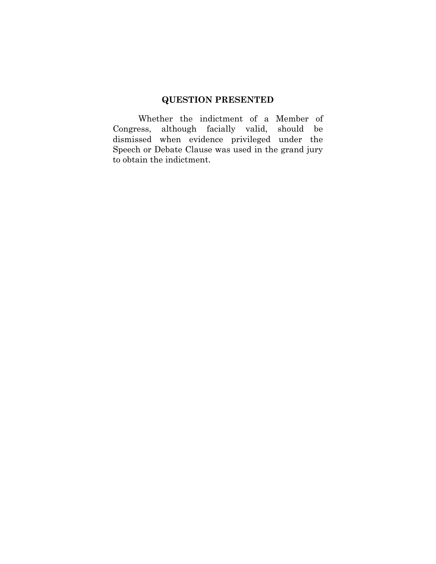# **QUESTION PRESENTED**

Whether the indictment of a Member of Congress, although facially valid, should be dismissed when evidence privileged under the Speech or Debate Clause was used in the grand jury to obtain the indictment.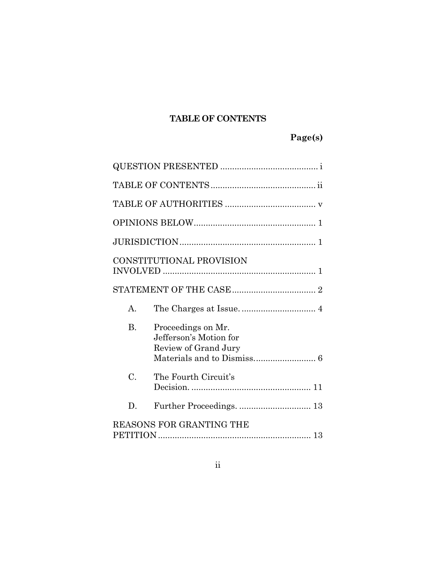## **TABLE OF CONTENTS**

# **Page(s)**

|                          | CONSTITUTIONAL PROVISION                                             |  |
|--------------------------|----------------------------------------------------------------------|--|
|                          |                                                                      |  |
| А.                       |                                                                      |  |
| <b>B.</b>                | Proceedings on Mr.<br>Jefferson's Motion for<br>Review of Grand Jury |  |
| $\mathcal{C}$ .          | The Fourth Circuit's                                                 |  |
| D.                       | Further Proceedings.  13                                             |  |
| REASONS FOR GRANTING THE |                                                                      |  |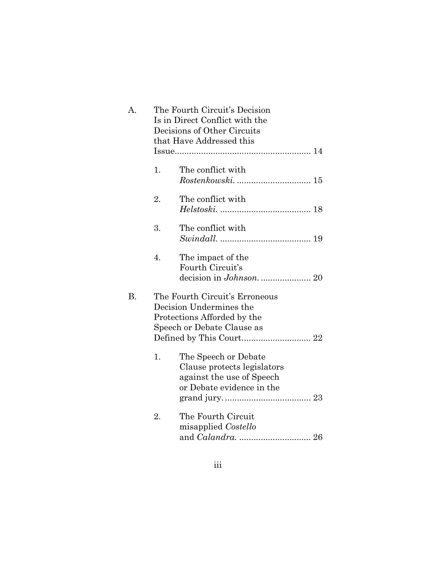| A. |    | The Fourth Circuit's Decision<br>Is in Direct Conflict with the<br>Decisions of Other Circuits<br>that Have Addressed this |  |
|----|----|----------------------------------------------------------------------------------------------------------------------------|--|
|    | 1. | The conflict with                                                                                                          |  |
|    | 2. | The conflict with                                                                                                          |  |
|    | 3. | The conflict with                                                                                                          |  |
|    | 4. | The impact of the<br>Fourth Circuit's                                                                                      |  |
| В. |    | The Fourth Circuit's Erroneous<br>Decision Undermines the<br>Protections Afforded by the<br>Speech or Debate Clause as     |  |
|    | 1. | The Speech or Debate<br>Clause protects legislators<br>against the use of Speech<br>or Debate evidence in the              |  |
|    | 2. | The Fourth Circuit<br>misapplied Costello                                                                                  |  |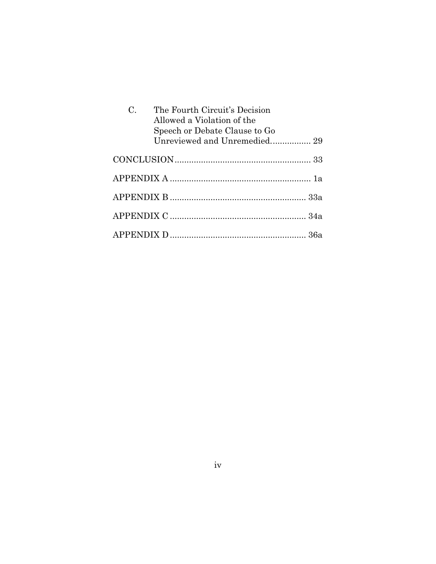| $\mathcal{C}$ . | The Fourth Circuit's Decision<br>Allowed a Violation of the<br>Speech or Debate Clause to Go |  |
|-----------------|----------------------------------------------------------------------------------------------|--|
|                 | Unreviewed and Unremedied 29                                                                 |  |
|                 |                                                                                              |  |
|                 |                                                                                              |  |
|                 |                                                                                              |  |
|                 |                                                                                              |  |
|                 |                                                                                              |  |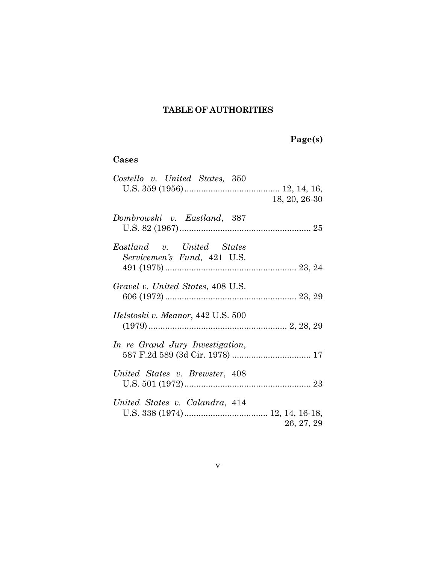## **TABLE OF AUTHORITIES**

# **Page(s)**

## **Cases**

| Costello v. United States, 350                           | $18, 20, 26-30$ |
|----------------------------------------------------------|-----------------|
| Dombrowski v. Eastland, 387                              |                 |
| Eastland v. United States<br>Servicemen's Fund, 421 U.S. |                 |
| Gravel v. United States, 408 U.S.                        |                 |
| Helstoski v. Meanor, 442 U.S. 500                        |                 |
| In re Grand Jury Investigation,                          |                 |
| United States v. Brewster, 408                           |                 |
| United States v. Calandra, 414                           | 26, 27, 29      |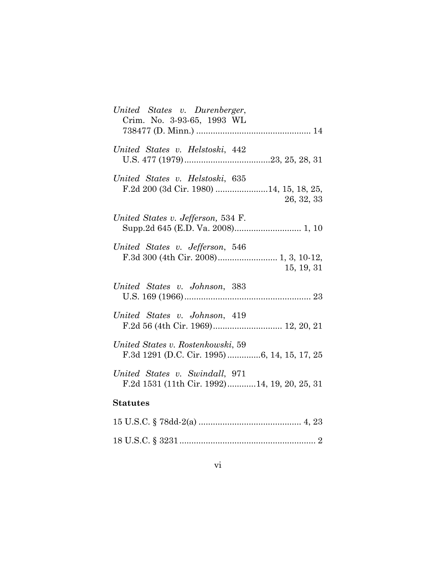| United States v. Durenberger,<br>Crim. No. 3-93-65, 1993 WL                    |
|--------------------------------------------------------------------------------|
| United States v. Helstoski, 442                                                |
| United States v. Helstoski, 635<br>26, 32, 33                                  |
| United States v. Jefferson, 534 F.                                             |
| United States v. Jefferson, 546<br>15, 19, 31                                  |
| United States v. Johnson, 383                                                  |
| United States v. Johnson, 419                                                  |
| United States v. Rostenkowski, 59                                              |
| United States v. Swindall, 971<br>F.2d 1531 (11th Cir. 1992)14, 19, 20, 25, 31 |
| <b>Statutes</b>                                                                |
|                                                                                |
|                                                                                |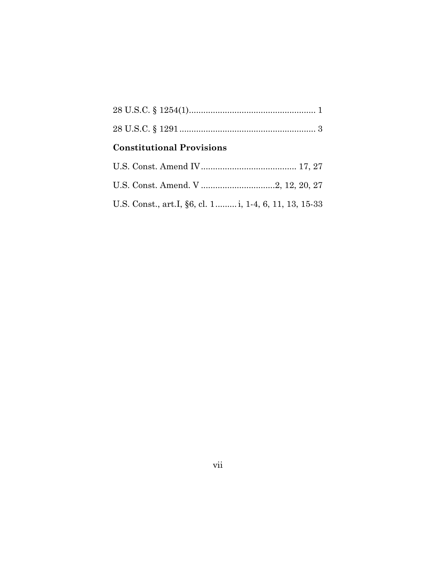## **Constitutional Provisions**

| U.S. Const., art.I, §6, cl. 1 i, 1-4, 6, 11, 13, 15-33 |  |
|--------------------------------------------------------|--|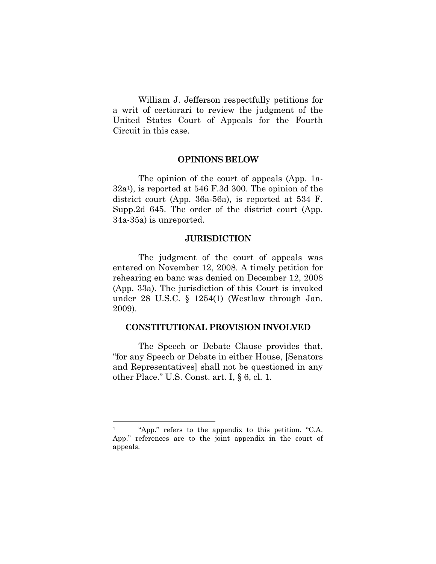William J. Jefferson respectfully petitions for a writ of certiorari to review the judgment of the United States Court of Appeals for the Fourth Circuit in this case.

#### **OPINIONS BELOW**

The opinion of the court of appeals (App. 1a-32a1), is reported at 546 F.3d 300. The opinion of the district court (App. 36a-56a), is reported at 534 F. Supp.2d 645. The order of the district court (App. 34a-35a) is unreported.

#### **JURISDICTION**

The judgment of the court of appeals was entered on November 12, 2008. A timely petition for rehearing en banc was denied on December 12, 2008 (App. 33a). The jurisdiction of this Court is invoked under 28 U.S.C. § 1254(1) (Westlaw through Jan. 2009).

#### **CONSTITUTIONAL PROVISION INVOLVED**

The Speech or Debate Clause provides that, "for any Speech or Debate in either House, [Senators and Representatives] shall not be questioned in any other Place." U.S. Const. art. I, § 6, cl. 1.

<sup>1 &</sup>quot;App." refers to the appendix to this petition. "C.A. App." references are to the joint appendix in the court of appeals.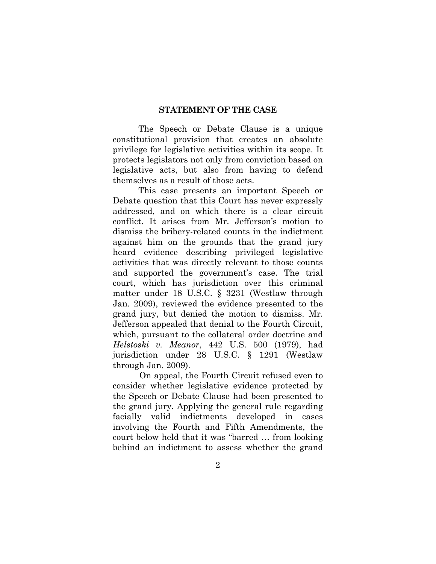#### **STATEMENT OF THE CASE**

The Speech or Debate Clause is a unique constitutional provision that creates an absolute privilege for legislative activities within its scope. It protects legislators not only from conviction based on legislative acts, but also from having to defend themselves as a result of those acts.

This case presents an important Speech or Debate question that this Court has never expressly addressed, and on which there is a clear circuit conflict. It arises from Mr. Jefferson's motion to dismiss the bribery-related counts in the indictment against him on the grounds that the grand jury heard evidence describing privileged legislative activities that was directly relevant to those counts and supported the government's case. The trial court, which has jurisdiction over this criminal matter under 18 U.S.C. § 3231 (Westlaw through Jan. 2009), reviewed the evidence presented to the grand jury, but denied the motion to dismiss. Mr. Jefferson appealed that denial to the Fourth Circuit, which, pursuant to the collateral order doctrine and *Helstoski v. Meanor*, 442 U.S. 500 (1979), had jurisdiction under 28 U.S.C. § 1291 (Westlaw through Jan. 2009).

On appeal, the Fourth Circuit refused even to consider whether legislative evidence protected by the Speech or Debate Clause had been presented to the grand jury. Applying the general rule regarding facially valid indictments developed in cases involving the Fourth and Fifth Amendments, the court below held that it was "barred … from looking behind an indictment to assess whether the grand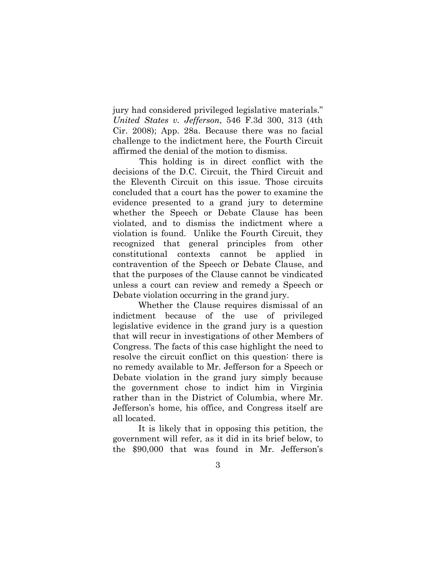jury had considered privileged legislative materials." *United States v. Jefferson*, 546 F.3d 300, 313 (4th Cir. 2008); App. 28a. Because there was no facial challenge to the indictment here, the Fourth Circuit affirmed the denial of the motion to dismiss.

This holding is in direct conflict with the decisions of the D.C. Circuit, the Third Circuit and the Eleventh Circuit on this issue. Those circuits concluded that a court has the power to examine the evidence presented to a grand jury to determine whether the Speech or Debate Clause has been violated, and to dismiss the indictment where a violation is found. Unlike the Fourth Circuit, they recognized that general principles from other constitutional contexts cannot be applied in contravention of the Speech or Debate Clause, and that the purposes of the Clause cannot be vindicated unless a court can review and remedy a Speech or Debate violation occurring in the grand jury.

Whether the Clause requires dismissal of an indictment because of the use of privileged legislative evidence in the grand jury is a question that will recur in investigations of other Members of Congress. The facts of this case highlight the need to resolve the circuit conflict on this question: there is no remedy available to Mr. Jefferson for a Speech or Debate violation in the grand jury simply because the government chose to indict him in Virginia rather than in the District of Columbia, where Mr. Jefferson's home, his office, and Congress itself are all located.

It is likely that in opposing this petition, the government will refer, as it did in its brief below, to the \$90,000 that was found in Mr. Jefferson's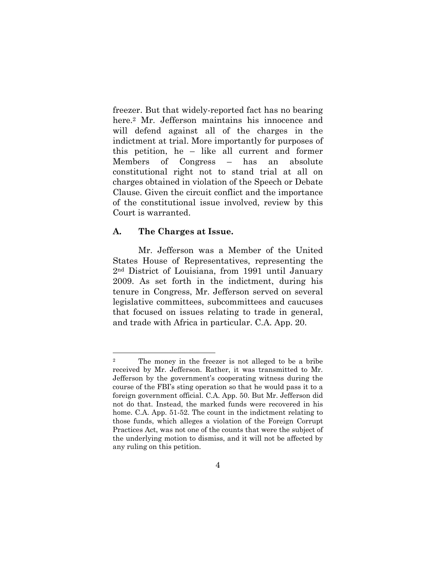freezer. But that widely-reported fact has no bearing here.<sup>2</sup> Mr. Jefferson maintains his innocence and will defend against all of the charges in the indictment at trial. More importantly for purposes of this petition, he – like all current and former Members of Congress – has an absolute constitutional right not to stand trial at all on charges obtained in violation of the Speech or Debate Clause. Given the circuit conflict and the importance of the constitutional issue involved, review by this Court is warranted.

#### **A. The Charges at Issue.**

l

Mr. Jefferson was a Member of the United States House of Representatives, representing the 2nd District of Louisiana, from 1991 until January 2009. As set forth in the indictment, during his tenure in Congress, Mr. Jefferson served on several legislative committees, subcommittees and caucuses that focused on issues relating to trade in general, and trade with Africa in particular. C.A. App. 20.

<sup>2</sup> The money in the freezer is not alleged to be a bribe received by Mr. Jefferson. Rather, it was transmitted to Mr. Jefferson by the government's cooperating witness during the course of the FBI's sting operation so that he would pass it to a foreign government official. C.A. App. 50. But Mr. Jefferson did not do that. Instead, the marked funds were recovered in his home. C.A. App. 51-52. The count in the indictment relating to those funds, which alleges a violation of the Foreign Corrupt Practices Act, was not one of the counts that were the subject of the underlying motion to dismiss, and it will not be affected by any ruling on this petition.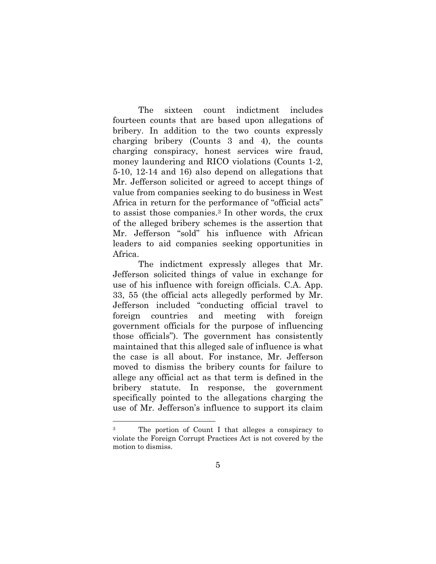The sixteen count indictment includes fourteen counts that are based upon allegations of bribery. In addition to the two counts expressly charging bribery (Counts 3 and 4), the counts charging conspiracy, honest services wire fraud, money laundering and RICO violations (Counts 1-2, 5-10, 12-14 and 16) also depend on allegations that Mr. Jefferson solicited or agreed to accept things of value from companies seeking to do business in West Africa in return for the performance of "official acts" to assist those companies.3 In other words, the crux of the alleged bribery schemes is the assertion that Mr. Jefferson "sold" his influence with African leaders to aid companies seeking opportunities in Africa.

The indictment expressly alleges that Mr. Jefferson solicited things of value in exchange for use of his influence with foreign officials. C.A. App. 33, 55 (the official acts allegedly performed by Mr. Jefferson included "conducting official travel to foreign countries and meeting with foreign government officials for the purpose of influencing those officials"). The government has consistently maintained that this alleged sale of influence is what the case is all about. For instance, Mr. Jefferson moved to dismiss the bribery counts for failure to allege any official act as that term is defined in the bribery statute. In response, the government specifically pointed to the allegations charging the use of Mr. Jefferson's influence to support its claim

<sup>3</sup> The portion of Count I that alleges a conspiracy to violate the Foreign Corrupt Practices Act is not covered by the motion to dismiss.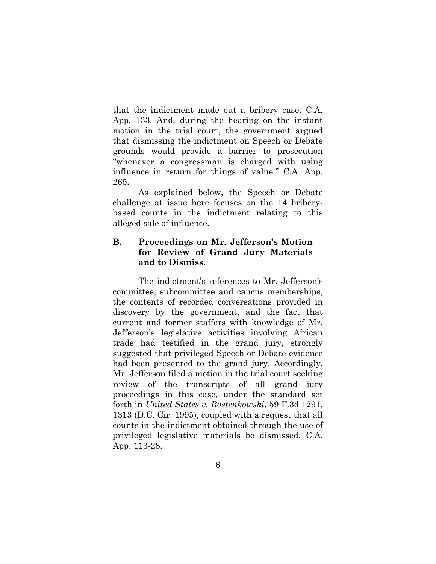that the indictment made out a bribery case. C.A. App. 133. And, during the hearing on the instant motion in the trial court, the government argued that dismissing the indictment on Speech or Debate grounds would provide a barrier to prosecution "whenever a congressman is charged with using influence in return for things of value." C.A. App. 265.

As explained below, the Speech or Debate challenge at issue here focuses on the 14 briberybased counts in the indictment relating to this alleged sale of influence.

## **B. Proceedings on Mr. Jefferson's Motion for Review of Grand Jury Materials and to Dismiss.**

The indictment's references to Mr. Jefferson's committee, subcommittee and caucus memberships, the contents of recorded conversations provided in discovery by the government, and the fact that current and former staffers with knowledge of Mr. Jefferson's legislative activities involving African trade had testified in the grand jury, strongly suggested that privileged Speech or Debate evidence had been presented to the grand jury. Accordingly, Mr. Jefferson filed a motion in the trial court seeking review of the transcripts of all grand jury proceedings in this case, under the standard set forth in *United States v. Rostenkowski*, 59 F.3d 1291, 1313 (D.C. Cir. 1995), coupled with a request that all counts in the indictment obtained through the use of privileged legislative materials be dismissed. C.A. App. 113-28.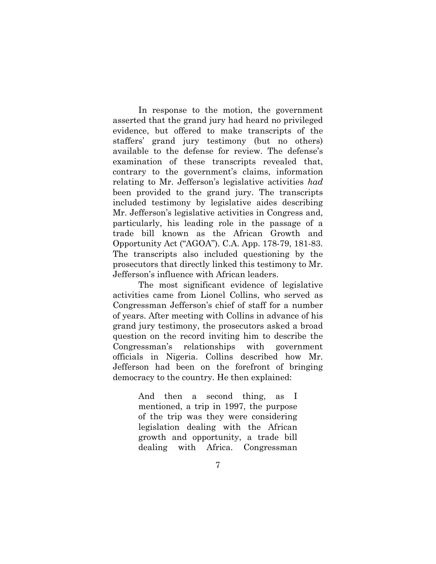In response to the motion, the government asserted that the grand jury had heard no privileged evidence, but offered to make transcripts of the staffers' grand jury testimony (but no others) available to the defense for review. The defense's examination of these transcripts revealed that, contrary to the government's claims, information relating to Mr. Jefferson's legislative activities *had* been provided to the grand jury. The transcripts included testimony by legislative aides describing Mr. Jefferson's legislative activities in Congress and, particularly, his leading role in the passage of a trade bill known as the African Growth and Opportunity Act ("AGOA"). C.A. App. 178-79, 181-83. The transcripts also included questioning by the prosecutors that directly linked this testimony to Mr. Jefferson's influence with African leaders.

The most significant evidence of legislative activities came from Lionel Collins, who served as Congressman Jefferson's chief of staff for a number of years. After meeting with Collins in advance of his grand jury testimony, the prosecutors asked a broad question on the record inviting him to describe the Congressman's relationships with government officials in Nigeria. Collins described how Mr. Jefferson had been on the forefront of bringing democracy to the country. He then explained:

> And then a second thing, as I mentioned, a trip in 1997, the purpose of the trip was they were considering legislation dealing with the African growth and opportunity, a trade bill dealing with Africa. Congressman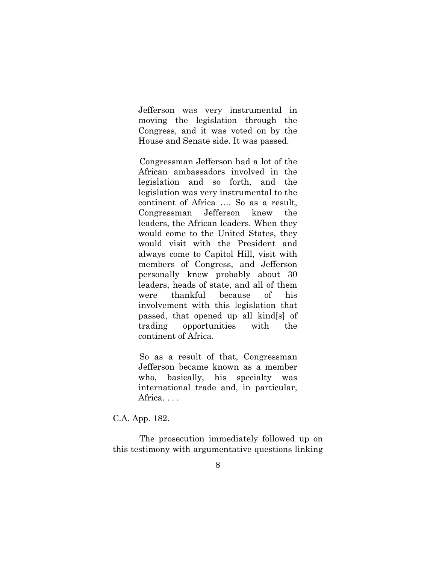Jefferson was very instrumental in moving the legislation through the Congress, and it was voted on by the House and Senate side. It was passed.

Congressman Jefferson had a lot of the African ambassadors involved in the legislation and so forth, and the legislation was very instrumental to the continent of Africa …. So as a result, Congressman Jefferson knew the leaders, the African leaders. When they would come to the United States, they would visit with the President and always come to Capitol Hill, visit with members of Congress, and Jefferson personally knew probably about 30 leaders, heads of state, and all of them were thankful because of his involvement with this legislation that passed, that opened up all kind[s] of trading opportunities with the continent of Africa.

So as a result of that, Congressman Jefferson became known as a member who, basically, his specialty was international trade and, in particular, Africa. . . .

C.A. App. 182.

The prosecution immediately followed up on this testimony with argumentative questions linking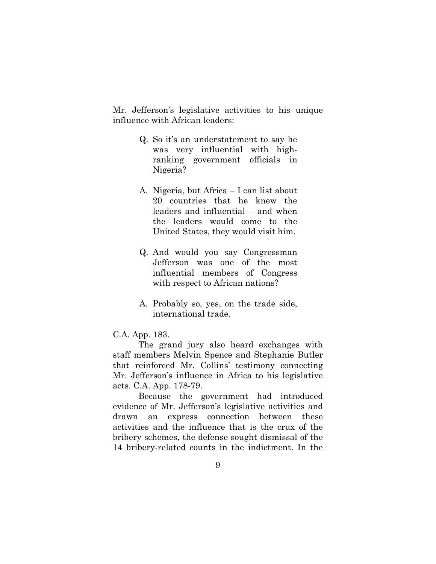Mr. Jefferson's legislative activities to his unique influence with African leaders:

- Q. So it's an understatement to say he was very influential with highranking government officials in Nigeria?
- A. Nigeria, but Africa I can list about 20 countries that he knew the leaders and influential – and when the leaders would come to the United States, they would visit him.
- Q. And would you say Congressman Jefferson was one of the most influential members of Congress with respect to African nations?
- A. Probably so, yes, on the trade side, international trade.

#### C.A. App. 183.

The grand jury also heard exchanges with staff members Melvin Spence and Stephanie Butler that reinforced Mr. Collins' testimony connecting Mr. Jefferson's influence in Africa to his legislative acts. C.A. App. 178-79.

Because the government had introduced evidence of Mr. Jefferson's legislative activities and drawn an express connection between these activities and the influence that is the crux of the bribery schemes, the defense sought dismissal of the 14 bribery-related counts in the indictment. In the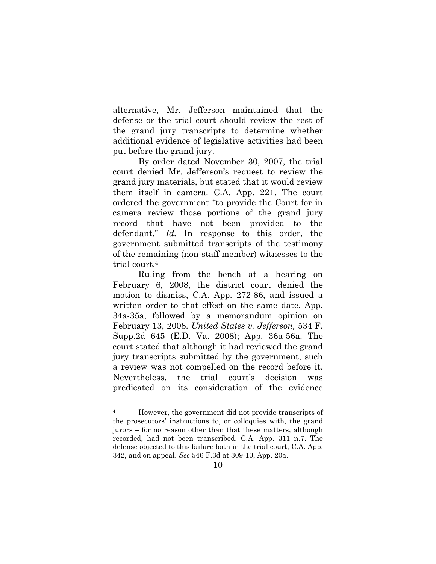alternative, Mr. Jefferson maintained that the defense or the trial court should review the rest of the grand jury transcripts to determine whether additional evidence of legislative activities had been put before the grand jury.

By order dated November 30, 2007, the trial court denied Mr. Jefferson's request to review the grand jury materials, but stated that it would review them itself in camera. C.A. App. 221. The court ordered the government "to provide the Court for in camera review those portions of the grand jury record that have not been provided to the defendant." *Id.* In response to this order, the government submitted transcripts of the testimony of the remaining (non-staff member) witnesses to the trial court.4

Ruling from the bench at a hearing on February 6, 2008, the district court denied the motion to dismiss, C.A. App. 272-86, and issued a written order to that effect on the same date, App. 34a-35a, followed by a memorandum opinion on February 13, 2008. *United States v. Jefferson,* 534 F. Supp.2d 645 (E.D. Va. 2008); App. 36a-56a. The court stated that although it had reviewed the grand jury transcripts submitted by the government, such a review was not compelled on the record before it. Nevertheless, the trial court's decision was predicated on its consideration of the evidence

l

<sup>4</sup> However, the government did not provide transcripts of the prosecutors' instructions to, or colloquies with, the grand jurors – for no reason other than that these matters, although recorded, had not been transcribed. C.A. App. 311 n.7. The defense objected to this failure both in the trial court, C.A. App. 342, and on appeal. *See* 546 F.3d at 309-10, App. 20a.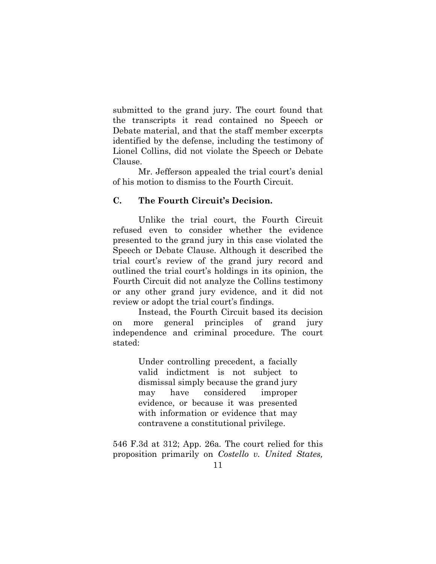submitted to the grand jury. The court found that the transcripts it read contained no Speech or Debate material, and that the staff member excerpts identified by the defense, including the testimony of Lionel Collins, did not violate the Speech or Debate Clause.

Mr. Jefferson appealed the trial court's denial of his motion to dismiss to the Fourth Circuit.

## **C. The Fourth Circuit's Decision.**

Unlike the trial court, the Fourth Circuit refused even to consider whether the evidence presented to the grand jury in this case violated the Speech or Debate Clause. Although it described the trial court's review of the grand jury record and outlined the trial court's holdings in its opinion, the Fourth Circuit did not analyze the Collins testimony or any other grand jury evidence, and it did not review or adopt the trial court's findings.

Instead, the Fourth Circuit based its decision on more general principles of grand jury independence and criminal procedure. The court stated:

> Under controlling precedent, a facially valid indictment is not subject to dismissal simply because the grand jury may have considered improper evidence, or because it was presented with information or evidence that may contravene a constitutional privilege.

546 F.3d at 312; App. 26a*.* The court relied for this proposition primarily on *Costello v. United States,*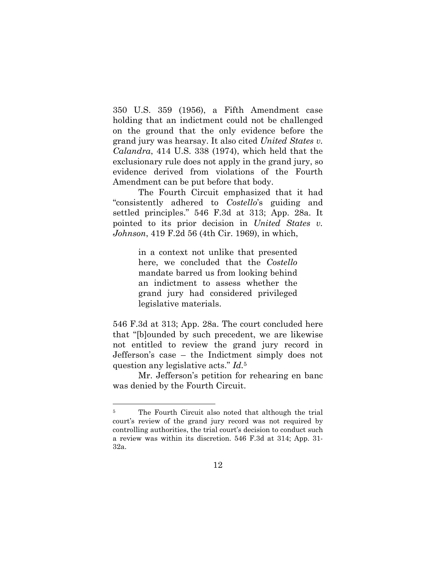350 U.S. 359 (1956), a Fifth Amendment case holding that an indictment could not be challenged on the ground that the only evidence before the grand jury was hearsay. It also cited *United States v. Calandra*, 414 U.S. 338 (1974), which held that the exclusionary rule does not apply in the grand jury, so evidence derived from violations of the Fourth Amendment can be put before that body.

The Fourth Circuit emphasized that it had "consistently adhered to *Costello*'s guiding and settled principles." 546 F.3d at 313; App. 28a. It pointed to its prior decision in *United States v. Johnson*, 419 F.2d 56 (4th Cir. 1969), in which,

> in a context not unlike that presented here, we concluded that the *Costello* mandate barred us from looking behind an indictment to assess whether the grand jury had considered privileged legislative materials.

546 F.3d at 313; App. 28a. The court concluded here that "[b]ounded by such precedent, we are likewise not entitled to review the grand jury record in Jefferson's case – the Indictment simply does not question any legislative acts." *Id.*<sup>5</sup>

Mr. Jefferson's petition for rehearing en banc was denied by the Fourth Circuit.

l

<sup>&</sup>lt;sup>5</sup> The Fourth Circuit also noted that although the trial court's review of the grand jury record was not required by controlling authorities, the trial court's decision to conduct such a review was within its discretion. 546 F.3d at 314; App. 31- 32a.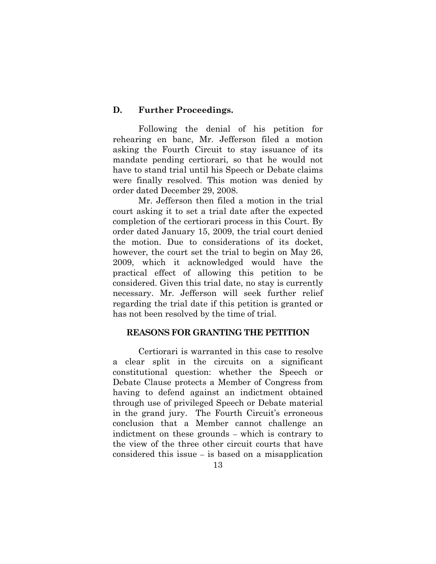### **D. Further Proceedings.**

Following the denial of his petition for rehearing en banc, Mr. Jefferson filed a motion asking the Fourth Circuit to stay issuance of its mandate pending certiorari, so that he would not have to stand trial until his Speech or Debate claims were finally resolved. This motion was denied by order dated December 29, 2008.

Mr. Jefferson then filed a motion in the trial court asking it to set a trial date after the expected completion of the certiorari process in this Court. By order dated January 15, 2009, the trial court denied the motion. Due to considerations of its docket, however, the court set the trial to begin on May 26, 2009, which it acknowledged would have the practical effect of allowing this petition to be considered. Given this trial date, no stay is currently necessary. Mr. Jefferson will seek further relief regarding the trial date if this petition is granted or has not been resolved by the time of trial.

#### **REASONS FOR GRANTING THE PETITION**

Certiorari is warranted in this case to resolve a clear split in the circuits on a significant constitutional question: whether the Speech or Debate Clause protects a Member of Congress from having to defend against an indictment obtained through use of privileged Speech or Debate material in the grand jury. The Fourth Circuit's erroneous conclusion that a Member cannot challenge an indictment on these grounds – which is contrary to the view of the three other circuit courts that have considered this issue – is based on a misapplication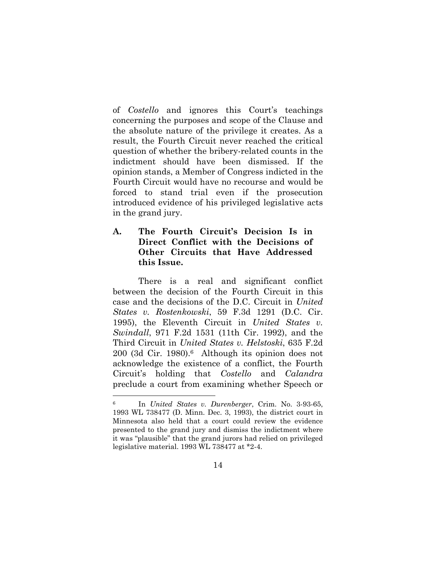of *Costello* and ignores this Court's teachings concerning the purposes and scope of the Clause and the absolute nature of the privilege it creates. As a result, the Fourth Circuit never reached the critical question of whether the bribery-related counts in the indictment should have been dismissed. If the opinion stands, a Member of Congress indicted in the Fourth Circuit would have no recourse and would be forced to stand trial even if the prosecution introduced evidence of his privileged legislative acts in the grand jury.

## **A. The Fourth Circuit's Decision Is in Direct Conflict with the Decisions of Other Circuits that Have Addressed this Issue.**

There is a real and significant conflict between the decision of the Fourth Circuit in this case and the decisions of the D.C. Circuit in *United States v. Rostenkowski*, 59 F.3d 1291 (D.C. Cir. 1995), the Eleventh Circuit in *United States v. Swindall*, 971 F.2d 1531 (11th Cir. 1992), and the Third Circuit in *United States v. Helstoski*, 635 F.2d 200 (3d Cir. 1980).6 Although its opinion does not acknowledge the existence of a conflict, the Fourth Circuit's holding that *Costello* and *Calandra*  preclude a court from examining whether Speech or

l

<sup>6</sup> In *United States v. Durenberger*, Crim. No. 3-93-65, 1993 WL 738477 (D. Minn. Dec. 3, 1993), the district court in Minnesota also held that a court could review the evidence presented to the grand jury and dismiss the indictment where it was "plausible" that the grand jurors had relied on privileged legislative material. 1993 WL 738477 at \*2-4.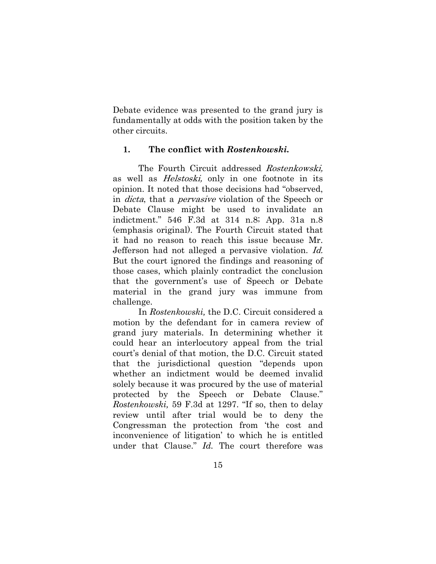Debate evidence was presented to the grand jury is fundamentally at odds with the position taken by the other circuits.

### **1. The conflict with** *Rostenkowski.*

The Fourth Circuit addressed Rostenkowski, as well as *Helstoski*, only in one footnote in its opinion. It noted that those decisions had "observed, in dicta, that a pervasive violation of the Speech or Debate Clause might be used to invalidate an indictment." 546 F.3d at 314 n.8; App. 31a n.8 (emphasis original). The Fourth Circuit stated that it had no reason to reach this issue because Mr. Jefferson had not alleged a pervasive violation. Id. But the court ignored the findings and reasoning of those cases, which plainly contradict the conclusion that the government's use of Speech or Debate material in the grand jury was immune from challenge.

In *Rostenkowski,* the D.C. Circuit considered a motion by the defendant for in camera review of grand jury materials. In determining whether it could hear an interlocutory appeal from the trial court's denial of that motion, the D.C. Circuit stated that the jurisdictional question "depends upon whether an indictment would be deemed invalid solely because it was procured by the use of material protected by the Speech or Debate Clause." *Rostenkowski,* 59 F.3d at 1297. "If so, then to delay review until after trial would be to deny the Congressman the protection from 'the cost and inconvenience of litigation' to which he is entitled under that Clause." *Id.* The court therefore was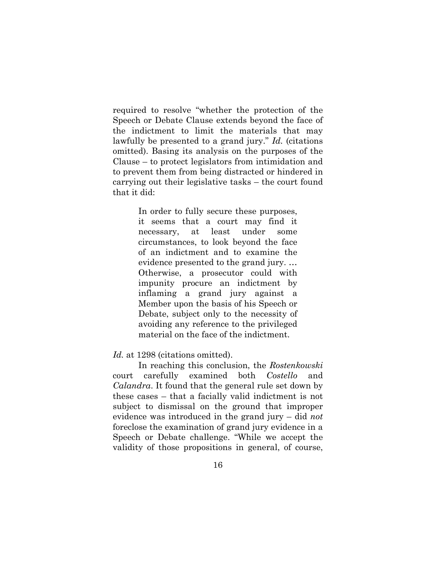required to resolve "whether the protection of the Speech or Debate Clause extends beyond the face of the indictment to limit the materials that may lawfully be presented to a grand jury." *Id.* (citations omitted). Basing its analysis on the purposes of the Clause – to protect legislators from intimidation and to prevent them from being distracted or hindered in carrying out their legislative tasks – the court found that it did:

> In order to fully secure these purposes, it seems that a court may find it necessary, at least under some circumstances, to look beyond the face of an indictment and to examine the evidence presented to the grand jury. … Otherwise, a prosecutor could with impunity procure an indictment by inflaming a grand jury against a Member upon the basis of his Speech or Debate, subject only to the necessity of avoiding any reference to the privileged material on the face of the indictment.

Id. at 1298 (citations omitted).

In reaching this conclusion, the *Rostenkowski* court carefully examined both *Costello* and *Calandra*. It found that the general rule set down by these cases – that a facially valid indictment is not subject to dismissal on the ground that improper evidence was introduced in the grand jury – did *not* foreclose the examination of grand jury evidence in a Speech or Debate challenge. "While we accept the validity of those propositions in general, of course,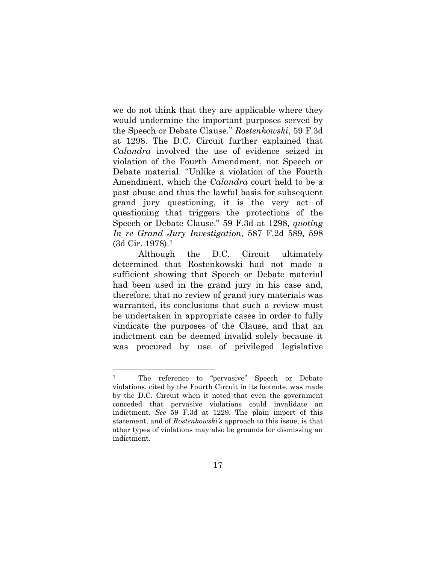we do not think that they are applicable where they would undermine the important purposes served by the Speech or Debate Clause." *Rostenkowski*, 59 F.3d at 1298. The D.C. Circuit further explained that *Calandra* involved the use of evidence seized in violation of the Fourth Amendment, not Speech or Debate material. "Unlike a violation of the Fourth Amendment, which the *Calandra* court held to be a past abuse and thus the lawful basis for subsequent grand jury questioning, it is the very act of questioning that triggers the protections of the Speech or Debate Clause." 59 F.3d at 1298, *quoting In re Grand Jury Investigation*, 587 F.2d 589, 598 (3d Cir. 1978).7

Although the D.C. Circuit ultimately determined that Rostenkowski had not made a sufficient showing that Speech or Debate material had been used in the grand jury in his case and, therefore, that no review of grand jury materials was warranted, its conclusions that such a review must be undertaken in appropriate cases in order to fully vindicate the purposes of the Clause, and that an indictment can be deemed invalid solely because it was procured by use of privileged legislative

l

<sup>7</sup> The reference to "pervasive" Speech or Debate violations, cited by the Fourth Circuit in its footnote, was made by the D.C. Circuit when it noted that even the government conceded that pervasive violations could invalidate an indictment. *See* 59 F.3d at 1229. The plain import of this statement, and of *Rostenkowski's* approach to this issue, is that other types of violations may also be grounds for dismissing an indictment.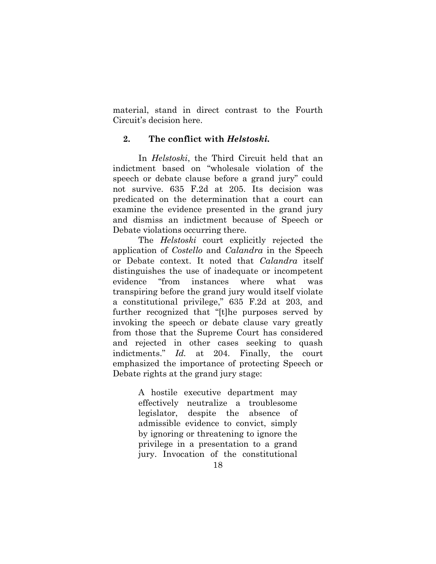material, stand in direct contrast to the Fourth Circuit's decision here.

### **2. The conflict with** *Helstoski.*

In *Helstoski*, the Third Circuit held that an indictment based on "wholesale violation of the speech or debate clause before a grand jury" could not survive. 635 F.2d at 205. Its decision was predicated on the determination that a court can examine the evidence presented in the grand jury and dismiss an indictment because of Speech or Debate violations occurring there.

The *Helstoski* court explicitly rejected the application of *Costello* and *Calandra* in the Speech or Debate context. It noted that *Calandra* itself distinguishes the use of inadequate or incompetent evidence "from instances where what was transpiring before the grand jury would itself violate a constitutional privilege," 635 F.2d at 203, and further recognized that "[t]he purposes served by invoking the speech or debate clause vary greatly from those that the Supreme Court has considered and rejected in other cases seeking to quash indictments." *Id.* at 204. Finally, the court emphasized the importance of protecting Speech or Debate rights at the grand jury stage:

> A hostile executive department may effectively neutralize a troublesome legislator, despite the absence of admissible evidence to convict, simply by ignoring or threatening to ignore the privilege in a presentation to a grand jury. Invocation of the constitutional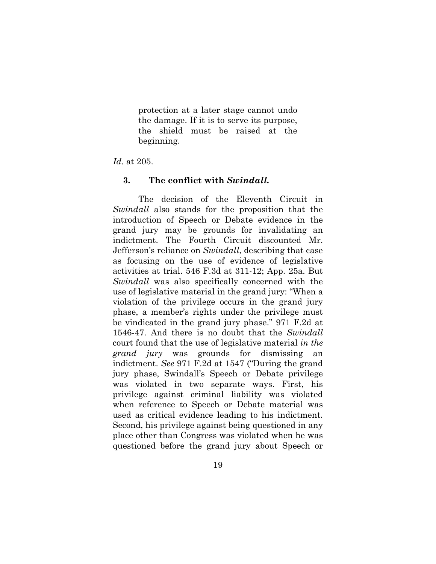protection at a later stage cannot undo the damage. If it is to serve its purpose, the shield must be raised at the beginning.

#### *Id.* at 205.

### **3. The conflict with** *Swindall.*

The decision of the Eleventh Circuit in *Swindall* also stands for the proposition that the introduction of Speech or Debate evidence in the grand jury may be grounds for invalidating an indictment. The Fourth Circuit discounted Mr. Jefferson's reliance on *Swindall*, describing that case as focusing on the use of evidence of legislative activities at trial. 546 F.3d at 311-12; App. 25a. But *Swindall* was also specifically concerned with the use of legislative material in the grand jury: "When a violation of the privilege occurs in the grand jury phase, a member's rights under the privilege must be vindicated in the grand jury phase." 971 F.2d at 1546-47. And there is no doubt that the *Swindall*  court found that the use of legislative material *in the grand jury* was grounds for dismissing indictment. *See* 971 F.2d at 1547 ("During the grand jury phase, Swindall's Speech or Debate privilege was violated in two separate ways. First, his privilege against criminal liability was violated when reference to Speech or Debate material was used as critical evidence leading to his indictment. Second, his privilege against being questioned in any place other than Congress was violated when he was questioned before the grand jury about Speech or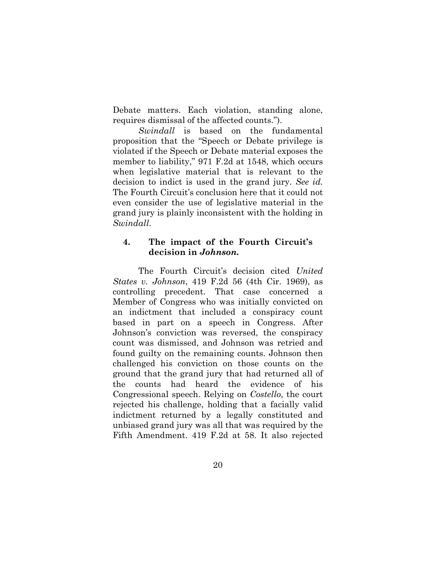Debate matters. Each violation, standing alone, requires dismissal of the affected counts.").

*Swindall* is based on the fundamental proposition that the "Speech or Debate privilege is violated if the Speech or Debate material exposes the member to liability," 971 F.2d at 1548, which occurs when legislative material that is relevant to the decision to indict is used in the grand jury. *See id.*  The Fourth Circuit's conclusion here that it could not even consider the use of legislative material in the grand jury is plainly inconsistent with the holding in *Swindall*.

### **4. The impact of the Fourth Circuit's decision in** *Johnson.*

The Fourth Circuit's decision cited *United States v. Johnson*, 419 F.2d 56 (4th Cir. 1969), as controlling precedent. That case concerned a Member of Congress who was initially convicted on an indictment that included a conspiracy count based in part on a speech in Congress. After Johnson's conviction was reversed, the conspiracy count was dismissed, and Johnson was retried and found guilty on the remaining counts. Johnson then challenged his conviction on those counts on the ground that the grand jury that had returned all of the counts had heard the evidence of his Congressional speech. Relying on *Costello*, the court rejected his challenge, holding that a facially valid indictment returned by a legally constituted and unbiased grand jury was all that was required by the Fifth Amendment. 419 F.2d at 58. It also rejected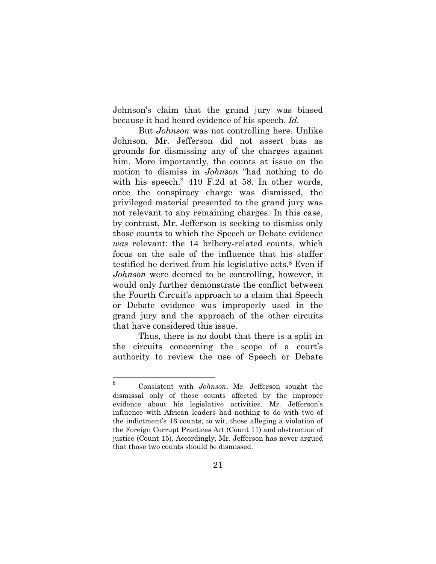Johnson's claim that the grand jury was biased because it had heard evidence of his speech. *Id.*

But *Johnson* was not controlling here. Unlike Johnson, Mr. Jefferson did not assert bias as grounds for dismissing any of the charges against him. More importantly, the counts at issue on the motion to dismiss in *Johnson* "had nothing to do with his speech." 419 F.2d at 58. In other words, once the conspiracy charge was dismissed, the privileged material presented to the grand jury was not relevant to any remaining charges. In this case, by contrast, Mr. Jefferson is seeking to dismiss only those counts to which the Speech or Debate evidence *was* relevant: the 14 bribery-related counts, which focus on the sale of the influence that his staffer testified he derived from his legislative acts.8 Even if *Johnson* were deemed to be controlling, however, it would only further demonstrate the conflict between the Fourth Circuit's approach to a claim that Speech or Debate evidence was improperly used in the grand jury and the approach of the other circuits that have considered this issue.

Thus, there is no doubt that there is a split in the circuits concerning the scope of a court's authority to review the use of Speech or Debate

 8 Consistent with *Johnson*, Mr. Jefferson sought the dismissal only of those counts affected by the improper evidence about his legislative activities. Mr. Jefferson's influence with African leaders had nothing to do with two of the indictment's 16 counts, to wit, those alleging a violation of the Foreign Corrupt Practices Act (Count 11) and obstruction of justice (Count 15). Accordingly, Mr. Jefferson has never argued that those two counts should be dismissed.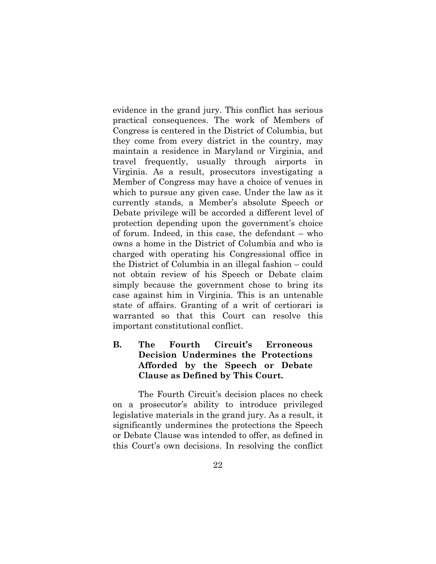evidence in the grand jury. This conflict has serious practical consequences. The work of Members of Congress is centered in the District of Columbia, but they come from every district in the country, may maintain a residence in Maryland or Virginia, and travel frequently, usually through airports in Virginia. As a result, prosecutors investigating a Member of Congress may have a choice of venues in which to pursue any given case. Under the law as it currently stands, a Member's absolute Speech or Debate privilege will be accorded a different level of protection depending upon the government's choice of forum. Indeed, in this case, the defendant – who owns a home in the District of Columbia and who is charged with operating his Congressional office in the District of Columbia in an illegal fashion – could not obtain review of his Speech or Debate claim simply because the government chose to bring its case against him in Virginia. This is an untenable state of affairs. Granting of a writ of certiorari is warranted so that this Court can resolve this important constitutional conflict.

## **B. The Fourth Circuit's Erroneous Decision Undermines the Protections Afforded by the Speech or Debate Clause as Defined by This Court.**

The Fourth Circuit's decision places no check on a prosecutor's ability to introduce privileged legislative materials in the grand jury. As a result, it significantly undermines the protections the Speech or Debate Clause was intended to offer, as defined in this Court's own decisions. In resolving the conflict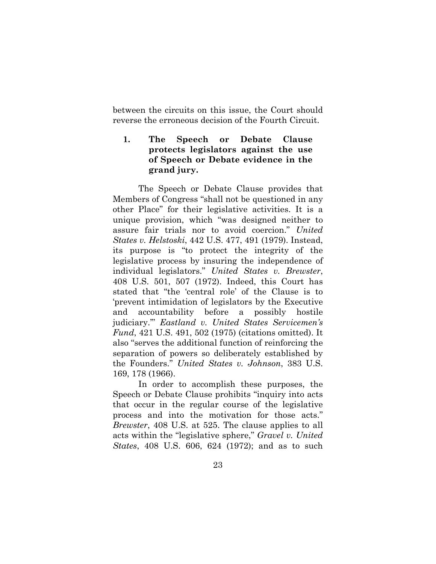between the circuits on this issue, the Court should reverse the erroneous decision of the Fourth Circuit.

**1. The Speech or Debate Clause protects legislators against the use of Speech or Debate evidence in the grand jury.** 

The Speech or Debate Clause provides that Members of Congress "shall not be questioned in any other Place" for their legislative activities. It is a unique provision, which "was designed neither to assure fair trials nor to avoid coercion." *United States v. Helstoski*, 442 U.S. 477, 491 (1979). Instead, its purpose is "to protect the integrity of the legislative process by insuring the independence of individual legislators." *United States v. Brewster*, 408 U.S. 501, 507 (1972). Indeed, this Court has stated that "the 'central role' of the Clause is to 'prevent intimidation of legislators by the Executive and accountability before a possibly hostile judiciary.'" *Eastland v. United States Servicemen's Fund*, 421 U.S. 491, 502 (1975) (citations omitted). It also "serves the additional function of reinforcing the separation of powers so deliberately established by the Founders." *United States v. Johnson*, 383 U.S. 169, 178 (1966).

In order to accomplish these purposes, the Speech or Debate Clause prohibits "inquiry into acts that occur in the regular course of the legislative process and into the motivation for those acts." *Brewster*, 408 U.S. at 525. The clause applies to all acts within the "legislative sphere," *Gravel v. United States*, 408 U.S. 606, 624 (1972); and as to such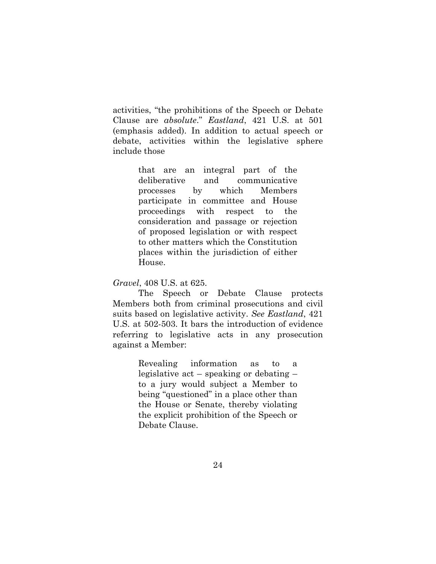activities, "the prohibitions of the Speech or Debate Clause are *absolute*." *Eastland*, 421 U.S. at 501 (emphasis added). In addition to actual speech or debate, activities within the legislative sphere include those

> that are an integral part of the deliberative and communicative processes by which Members participate in committee and House proceedings with respect to the consideration and passage or rejection of proposed legislation or with respect to other matters which the Constitution places within the jurisdiction of either House.

*Gravel*, 408 U.S. at 625.

The Speech or Debate Clause protects Members both from criminal prosecutions and civil suits based on legislative activity. *See Eastland*, 421 U.S. at 502-503. It bars the introduction of evidence referring to legislative acts in any prosecution against a Member:

> Revealing information as to a legislative act – speaking or debating – to a jury would subject a Member to being "questioned" in a place other than the House or Senate, thereby violating the explicit prohibition of the Speech or Debate Clause.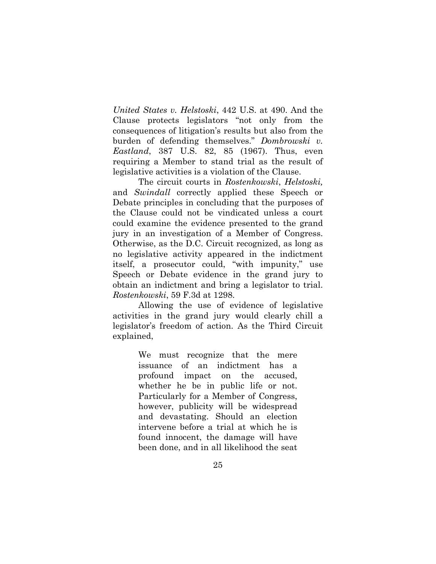*United States v. Helstoski*, 442 U.S. at 490. And the Clause protects legislators "not only from the consequences of litigation's results but also from the burden of defending themselves." *Dombrowski v. Eastland*, 387 U.S. 82, 85 (1967). Thus, even requiring a Member to stand trial as the result of legislative activities is a violation of the Clause.

The circuit courts in *Rostenkowski*, *Helstoski,*  and *Swindall* correctly applied these Speech or Debate principles in concluding that the purposes of the Clause could not be vindicated unless a court could examine the evidence presented to the grand jury in an investigation of a Member of Congress. Otherwise, as the D.C. Circuit recognized, as long as no legislative activity appeared in the indictment itself, a prosecutor could, "with impunity," use Speech or Debate evidence in the grand jury to obtain an indictment and bring a legislator to trial. *Rostenkowski*, 59 F.3d at 1298.

Allowing the use of evidence of legislative activities in the grand jury would clearly chill a legislator's freedom of action. As the Third Circuit explained,

> We must recognize that the mere issuance of an indictment has a profound impact on the accused, whether he be in public life or not. Particularly for a Member of Congress, however, publicity will be widespread and devastating. Should an election intervene before a trial at which he is found innocent, the damage will have been done, and in all likelihood the seat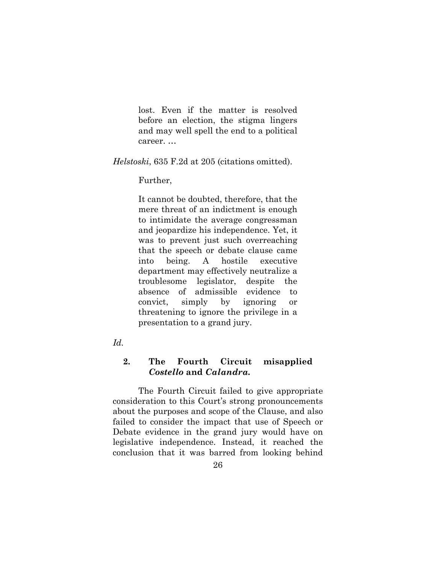lost. Even if the matter is resolved before an election, the stigma lingers and may well spell the end to a political career. …

*Helstoski*, 635 F.2d at 205 (citations omitted).

Further,

It cannot be doubted, therefore, that the mere threat of an indictment is enough to intimidate the average congressman and jeopardize his independence. Yet, it was to prevent just such overreaching that the speech or debate clause came into being. A hostile executive department may effectively neutralize a troublesome legislator, despite the absence of admissible evidence to convict, simply by ignoring or threatening to ignore the privilege in a presentation to a grand jury.

*Id.*

## **2. The Fourth Circuit misapplied**  *Costello* **and** *Calandra.*

The Fourth Circuit failed to give appropriate consideration to this Court's strong pronouncements about the purposes and scope of the Clause, and also failed to consider the impact that use of Speech or Debate evidence in the grand jury would have on legislative independence. Instead, it reached the conclusion that it was barred from looking behind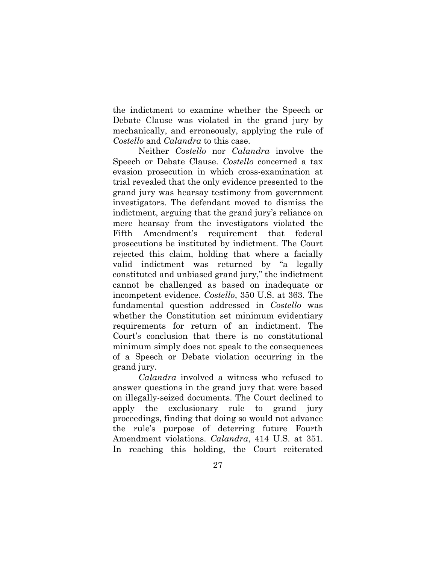the indictment to examine whether the Speech or Debate Clause was violated in the grand jury by mechanically, and erroneously, applying the rule of *Costello* and *Calandra* to this case.

Neither *Costello* nor *Calandra* involve the Speech or Debate Clause. *Costello* concerned a tax evasion prosecution in which cross-examination at trial revealed that the only evidence presented to the grand jury was hearsay testimony from government investigators. The defendant moved to dismiss the indictment, arguing that the grand jury's reliance on mere hearsay from the investigators violated the Fifth Amendment's requirement that federal prosecutions be instituted by indictment. The Court rejected this claim, holding that where a facially valid indictment was returned by "a legally constituted and unbiased grand jury," the indictment cannot be challenged as based on inadequate or incompetent evidence. *Costello*, 350 U.S. at 363. The fundamental question addressed in *Costello* was whether the Constitution set minimum evidentiary requirements for return of an indictment. The Court's conclusion that there is no constitutional minimum simply does not speak to the consequences of a Speech or Debate violation occurring in the grand jury.

*Calandra* involved a witness who refused to answer questions in the grand jury that were based on illegally-seized documents. The Court declined to apply the exclusionary rule to grand jury proceedings, finding that doing so would not advance the rule's purpose of deterring future Fourth Amendment violations. *Calandra*, 414 U.S. at 351. In reaching this holding, the Court reiterated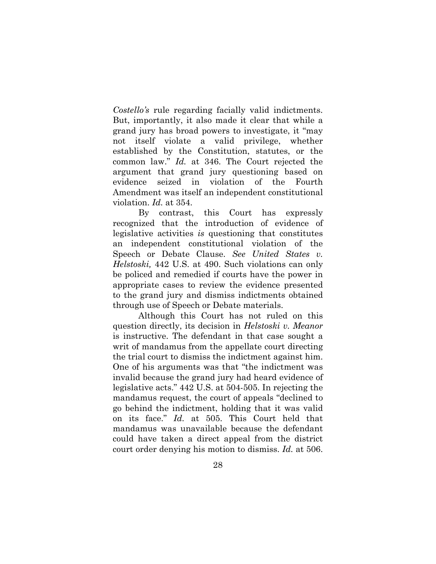*Costello's* rule regarding facially valid indictments. But, importantly, it also made it clear that while a grand jury has broad powers to investigate, it "may not itself violate a valid privilege, whether established by the Constitution, statutes, or the common law." *Id.* at 346. The Court rejected the argument that grand jury questioning based on evidence seized in violation of the Fourth Amendment was itself an independent constitutional violation. *Id.* at 354.

By contrast, this Court has expressly recognized that the introduction of evidence of legislative activities *is* questioning that constitutes an independent constitutional violation of the Speech or Debate Clause. *See United States v. Helstoski,* 442 U.S. at 490. Such violations can only be policed and remedied if courts have the power in appropriate cases to review the evidence presented to the grand jury and dismiss indictments obtained through use of Speech or Debate materials.

Although this Court has not ruled on this question directly, its decision in *Helstoski v. Meanor*  is instructive. The defendant in that case sought a writ of mandamus from the appellate court directing the trial court to dismiss the indictment against him. One of his arguments was that "the indictment was invalid because the grand jury had heard evidence of legislative acts." 442 U.S. at 504-505. In rejecting the mandamus request, the court of appeals "declined to go behind the indictment, holding that it was valid on its face." *Id.* at 505. This Court held that mandamus was unavailable because the defendant could have taken a direct appeal from the district court order denying his motion to dismiss. *Id.* at 506.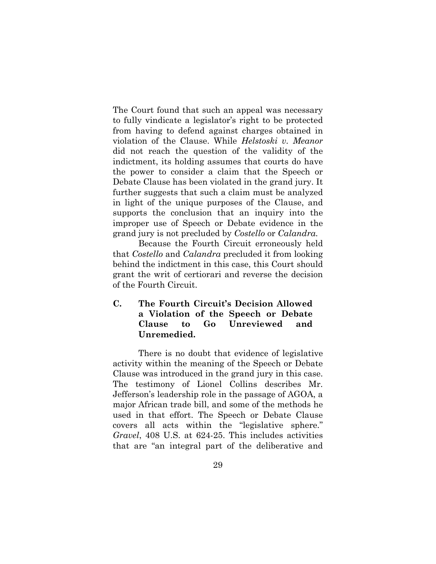The Court found that such an appeal was necessary to fully vindicate a legislator's right to be protected from having to defend against charges obtained in violation of the Clause. While *Helstoski v. Meanor* did not reach the question of the validity of the indictment, its holding assumes that courts do have the power to consider a claim that the Speech or Debate Clause has been violated in the grand jury. It further suggests that such a claim must be analyzed in light of the unique purposes of the Clause, and supports the conclusion that an inquiry into the improper use of Speech or Debate evidence in the grand jury is not precluded by *Costello* or *Calandra.*

Because the Fourth Circuit erroneously held that *Costello* and *Calandra* precluded it from looking behind the indictment in this case, this Court should grant the writ of certiorari and reverse the decision of the Fourth Circuit.

## **C. The Fourth Circuit's Decision Allowed a Violation of the Speech or Debate Clause to Go Unreviewed and Unremedied.**

There is no doubt that evidence of legislative activity within the meaning of the Speech or Debate Clause was introduced in the grand jury in this case. The testimony of Lionel Collins describes Mr. Jefferson's leadership role in the passage of AGOA, a major African trade bill, and some of the methods he used in that effort. The Speech or Debate Clause covers all acts within the "legislative sphere." *Gravel*, 408 U.S. at 624-25. This includes activities that are "an integral part of the deliberative and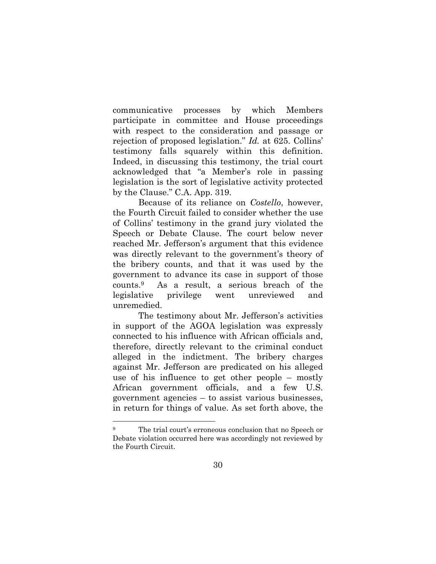communicative processes by which Members participate in committee and House proceedings with respect to the consideration and passage or rejection of proposed legislation." *Id.* at 625. Collins' testimony falls squarely within this definition. Indeed, in discussing this testimony, the trial court acknowledged that "a Member's role in passing legislation is the sort of legislative activity protected by the Clause." C.A. App. 319.

Because of its reliance on *Costello*, however, the Fourth Circuit failed to consider whether the use of Collins' testimony in the grand jury violated the Speech or Debate Clause. The court below never reached Mr. Jefferson's argument that this evidence was directly relevant to the government's theory of the bribery counts, and that it was used by the government to advance its case in support of those counts.9 As a result, a serious breach of the legislative privilege went unreviewed and unremedied.

The testimony about Mr. Jefferson's activities in support of the AGOA legislation was expressly connected to his influence with African officials and, therefore, directly relevant to the criminal conduct alleged in the indictment. The bribery charges against Mr. Jefferson are predicated on his alleged use of his influence to get other people – mostly African government officials, and a few U.S. government agencies – to assist various businesses, in return for things of value. As set forth above, the

The trial court's erroneous conclusion that no Speech or Debate violation occurred here was accordingly not reviewed by the Fourth Circuit.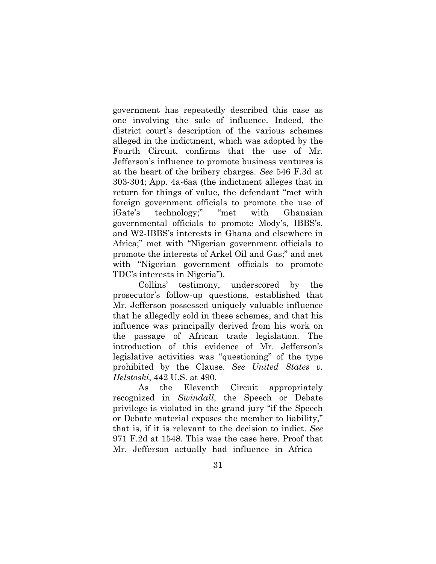government has repeatedly described this case as one involving the sale of influence. Indeed, the district court's description of the various schemes alleged in the indictment, which was adopted by the Fourth Circuit, confirms that the use of Mr. Jefferson's influence to promote business ventures is at the heart of the bribery charges. *See* 546 F.3d at 303-304; App. 4a-6aa (the indictment alleges that in return for things of value, the defendant "met with foreign government officials to promote the use of iGate's technology;" "met with Ghanaian governmental officials to promote Mody's, IBBS's, and W2-IBBS's interests in Ghana and elsewhere in Africa;" met with "Nigerian government officials to promote the interests of Arkel Oil and Gas;" and met with "Nigerian government officials to promote TDC's interests in Nigeria").

Collins' testimony, underscored by the prosecutor's follow-up questions, established that Mr. Jefferson possessed uniquely valuable influence that he allegedly sold in these schemes, and that his influence was principally derived from his work on the passage of African trade legislation. The introduction of this evidence of Mr. Jefferson's legislative activities was "questioning" of the type prohibited by the Clause. *See United States v. Helstoski*, 442 U.S. at 490.

As the Eleventh Circuit appropriately recognized in *Swindall*, the Speech or Debate privilege is violated in the grand jury "if the Speech or Debate material exposes the member to liability," that is, if it is relevant to the decision to indict. *See*  971 F.2d at 1548. This was the case here. Proof that Mr. Jefferson actually had influence in Africa –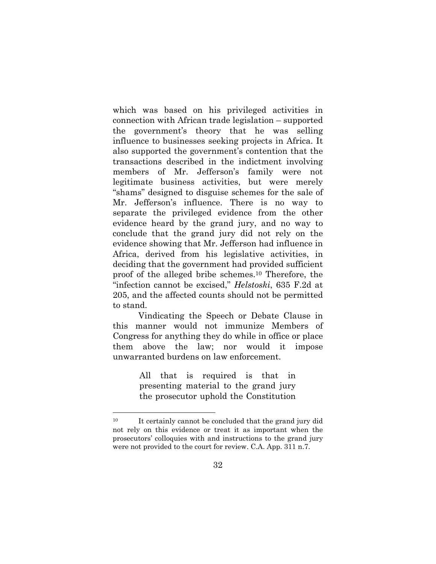which was based on his privileged activities in connection with African trade legislation – supported the government's theory that he was selling influence to businesses seeking projects in Africa. It also supported the government's contention that the transactions described in the indictment involving members of Mr. Jefferson's family were not legitimate business activities, but were merely "shams" designed to disguise schemes for the sale of Mr. Jefferson's influence. There is no way to separate the privileged evidence from the other evidence heard by the grand jury, and no way to conclude that the grand jury did not rely on the evidence showing that Mr. Jefferson had influence in Africa, derived from his legislative activities, in deciding that the government had provided sufficient proof of the alleged bribe schemes.10 Therefore, the "infection cannot be excised," *Helstoski*, 635 F.2d at 205, and the affected counts should not be permitted to stand.

Vindicating the Speech or Debate Clause in this manner would not immunize Members of Congress for anything they do while in office or place them above the law; nor would it impose unwarranted burdens on law enforcement.

> All that is required is that in presenting material to the grand jury the prosecutor uphold the Constitution

l

<sup>&</sup>lt;sup>10</sup> It certainly cannot be concluded that the grand jury did not rely on this evidence or treat it as important when the prosecutors' colloquies with and instructions to the grand jury were not provided to the court for review. C.A. App. 311 n.7.